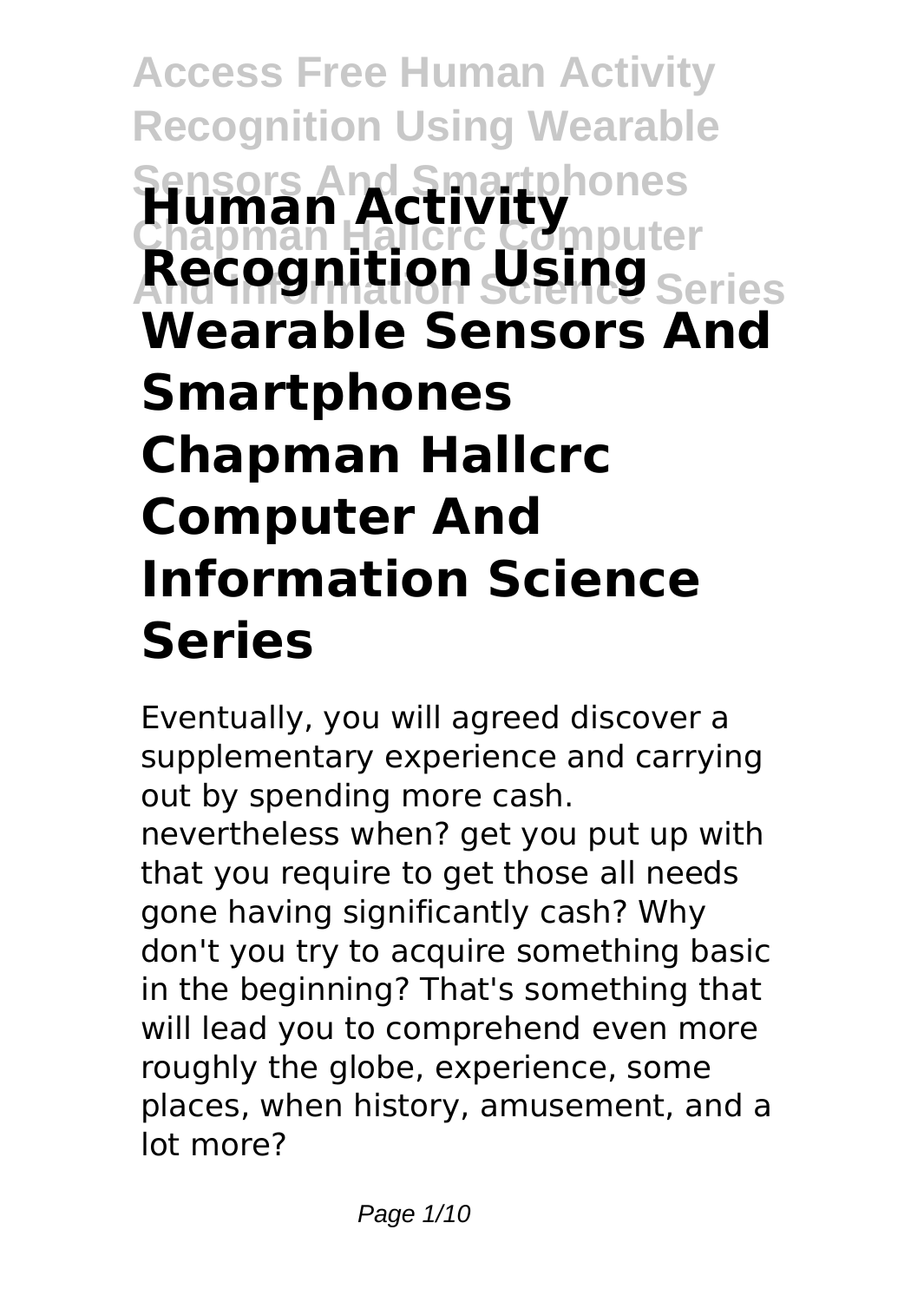**Access Free Human Activity Recognition Using Wearable Sensors And Smartphones Chapman Hallcrc Computer And Information Science Series Human Activity** Recognit **Wearable Sensors And Smartphones Chapman Hallcrc Computer And Information Science Series**

Eventually, you will agreed discover a supplementary experience and carrying out by spending more cash. nevertheless when? get you put up with that you require to get those all needs gone having significantly cash? Why don't you try to acquire something basic in the beginning? That's something that will lead you to comprehend even more roughly the globe, experience, some places, when history, amusement, and a lot more?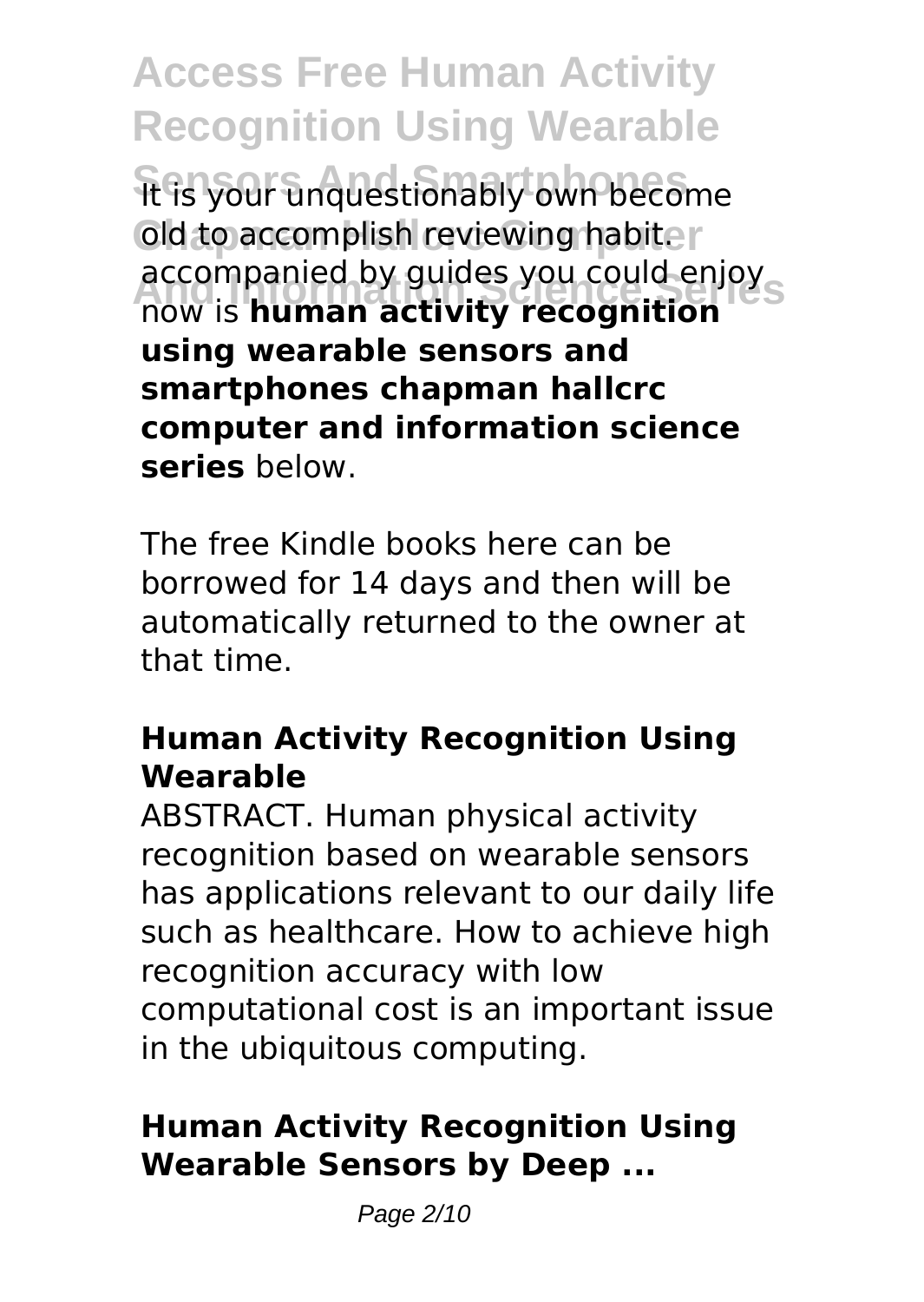**Access Free Human Activity Recognition Using Wearable** It is your unquestionably own become old to accomplish reviewing habiter **And Information Science Series** now is **human activity recognition** accompanied by guides you could enjoy **using wearable sensors and smartphones chapman hallcrc computer and information science series** below.

The free Kindle books here can be borrowed for 14 days and then will be automatically returned to the owner at that time.

## **Human Activity Recognition Using Wearable**

ABSTRACT. Human physical activity recognition based on wearable sensors has applications relevant to our daily life such as healthcare. How to achieve high recognition accuracy with low computational cost is an important issue in the ubiquitous computing.

## **Human Activity Recognition Using Wearable Sensors by Deep ...**

Page 2/10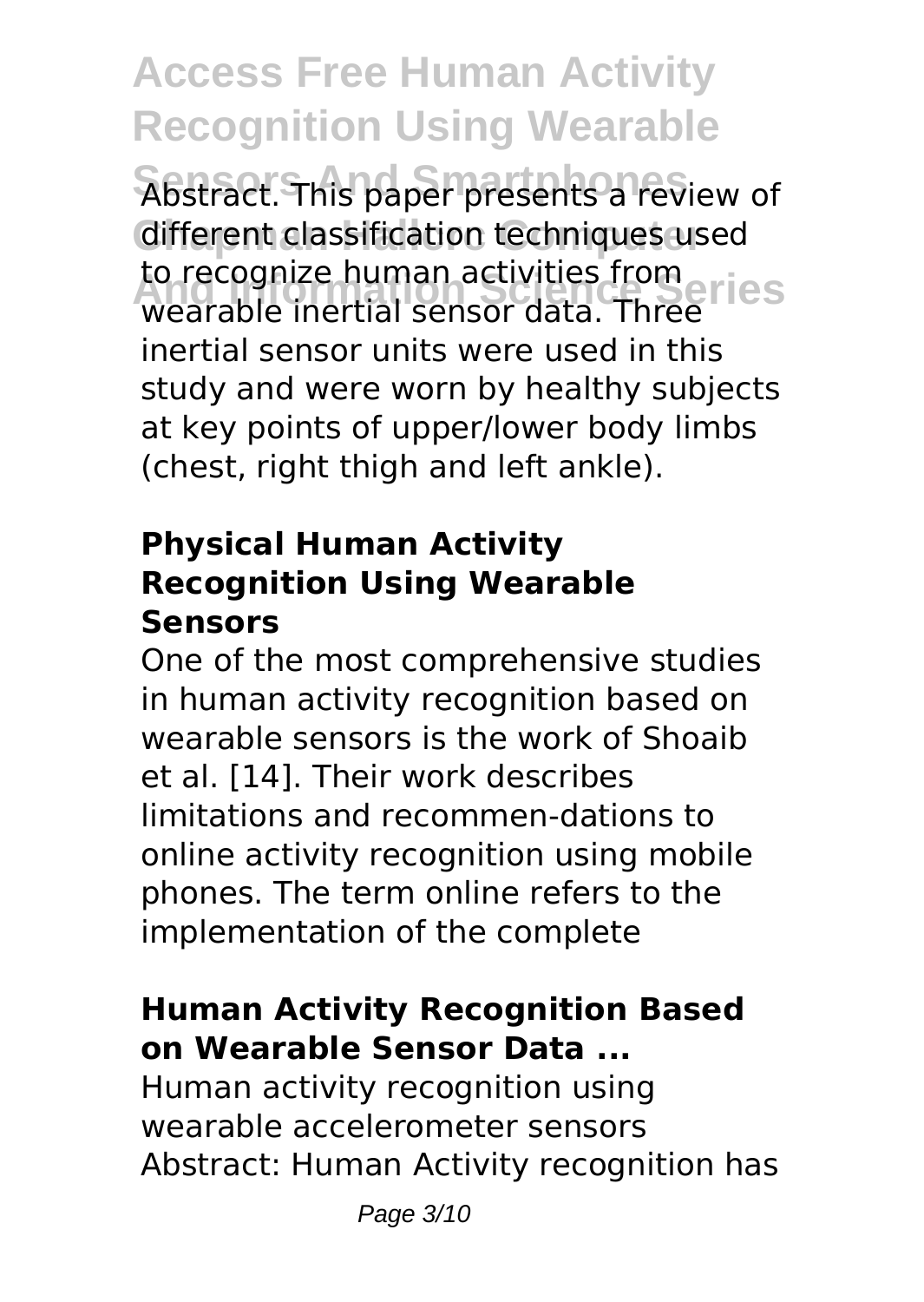**Access Free Human Activity Recognition Using Wearable** Abstract. This paper presents a review of different classification techniques used to recognize numan activities from<br>wearable inertial sensor data. Three to recognize human activities from inertial sensor units were used in this study and were worn by healthy subjects at key points of upper/lower body limbs (chest, right thigh and left ankle).

### **Physical Human Activity Recognition Using Wearable Sensors**

One of the most comprehensive studies in human activity recognition based on wearable sensors is the work of Shoaib et al. [14]. Their work describes limitations and recommen-dations to online activity recognition using mobile phones. The term online refers to the implementation of the complete

# **Human Activity Recognition Based on Wearable Sensor Data ...**

Human activity recognition using wearable accelerometer sensors Abstract: Human Activity recognition has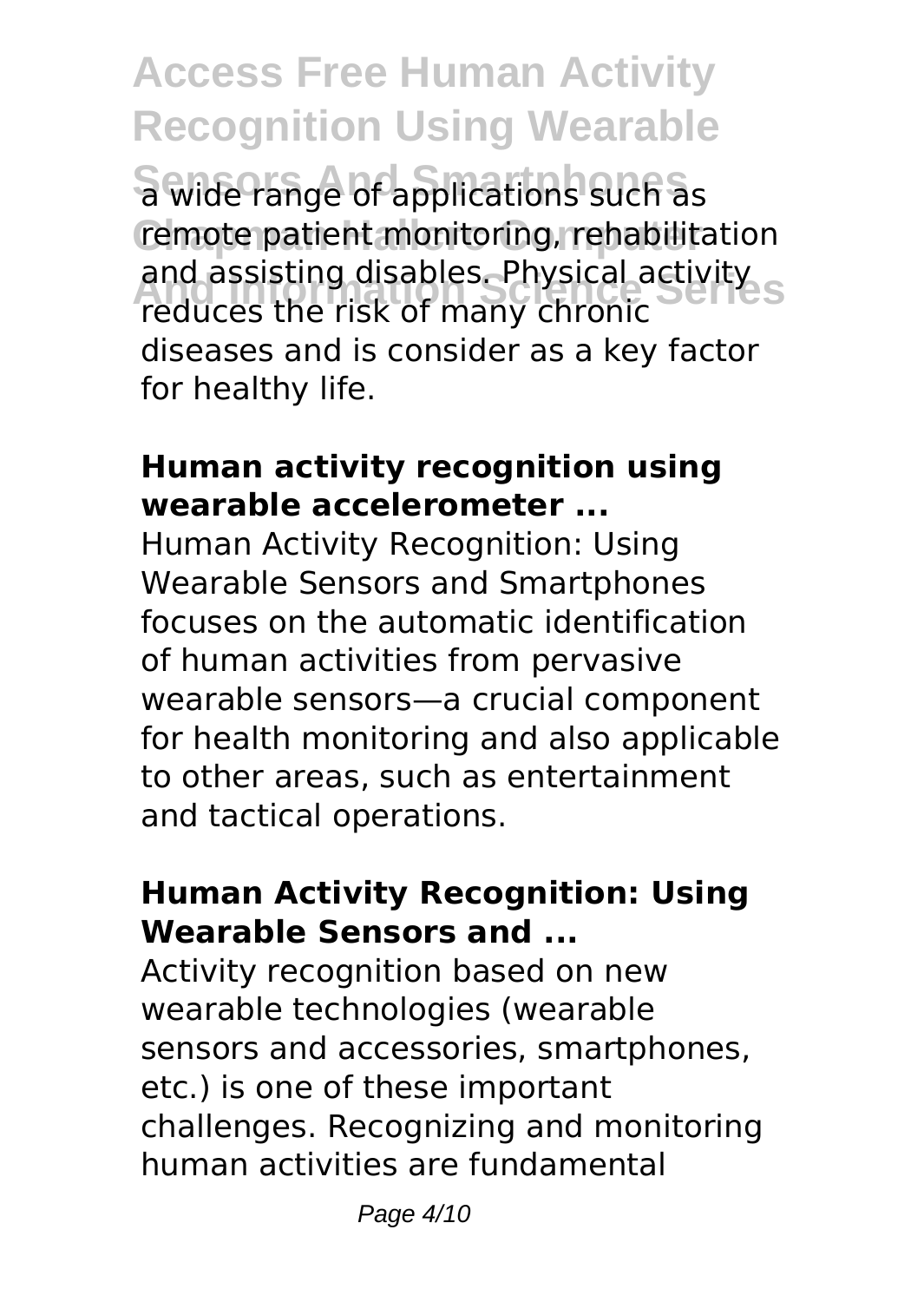**Access Free Human Activity Recognition Using Wearable Sensors And Smartphones** a wide range of applications such as remote patient monitoring, rehabilitation **And Information Science Series** reduces the risk of many chronic and assisting disables. Physical activity diseases and is consider as a key factor for healthy life.

### **Human activity recognition using wearable accelerometer ...**

Human Activity Recognition: Using Wearable Sensors and Smartphones focuses on the automatic identification of human activities from pervasive wearable sensors—a crucial component for health monitoring and also applicable to other areas, such as entertainment and tactical operations.

### **Human Activity Recognition: Using Wearable Sensors and ...**

Activity recognition based on new wearable technologies (wearable sensors and accessories, smartphones, etc.) is one of these important challenges. Recognizing and monitoring human activities are fundamental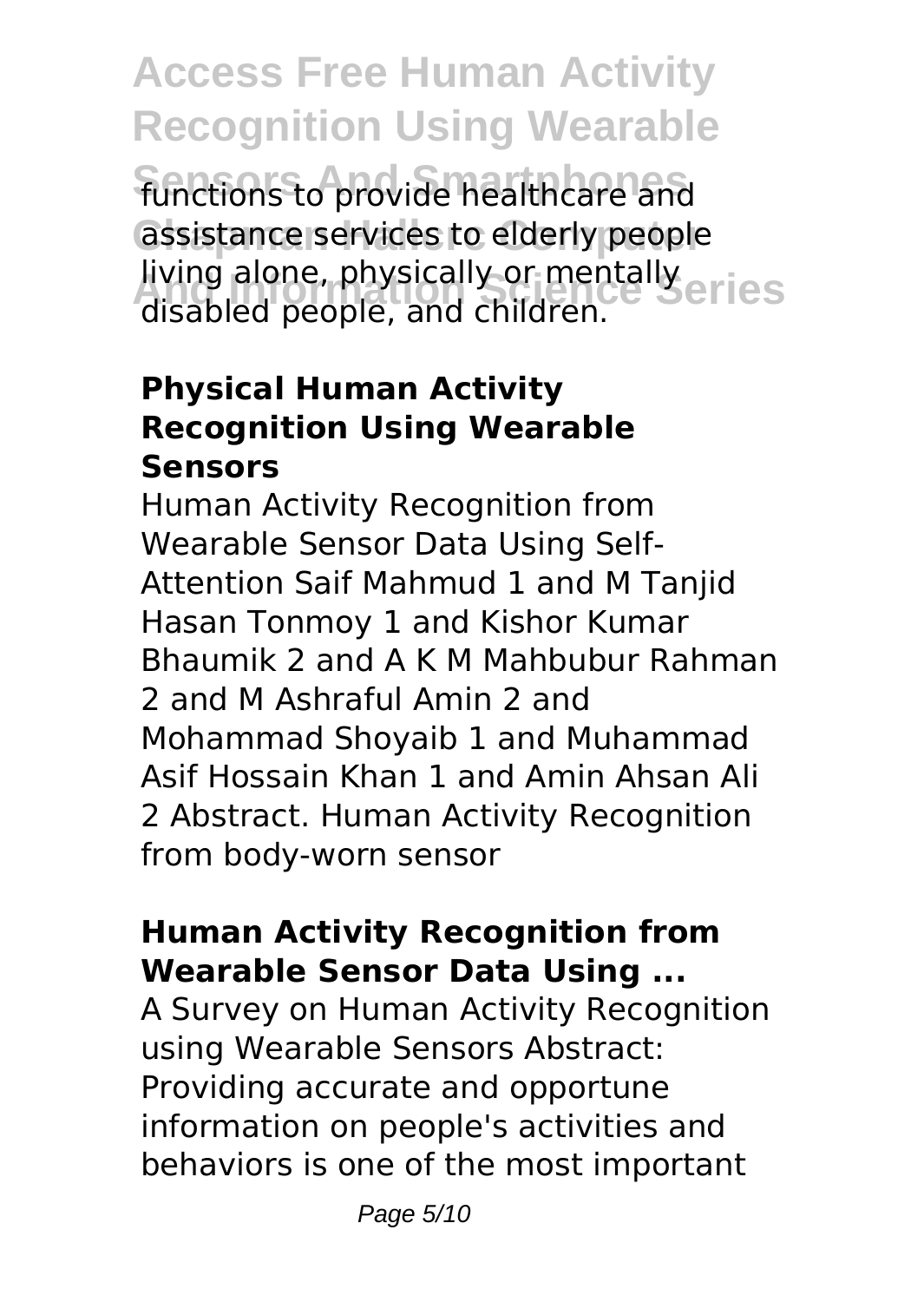**Access Free Human Activity Recognition Using Wearable Sensors And Smartphones** functions to provide healthcare and assistance services to elderly people **And Information Science Series** disabled people, and children. living alone, physically or mentally

## **Physical Human Activity Recognition Using Wearable Sensors**

Human Activity Recognition from Wearable Sensor Data Using Self-Attention Saif Mahmud 1 and M Tanjid Hasan Tonmoy 1 and Kishor Kumar Bhaumik 2 and A K M Mahbubur Rahman 2 and M Ashraful Amin 2 and Mohammad Shoyaib 1 and Muhammad Asif Hossain Khan 1 and Amin Ahsan Ali 2 Abstract. Human Activity Recognition from body-worn sensor

### **Human Activity Recognition from Wearable Sensor Data Using ...**

A Survey on Human Activity Recognition using Wearable Sensors Abstract: Providing accurate and opportune information on people's activities and behaviors is one of the most important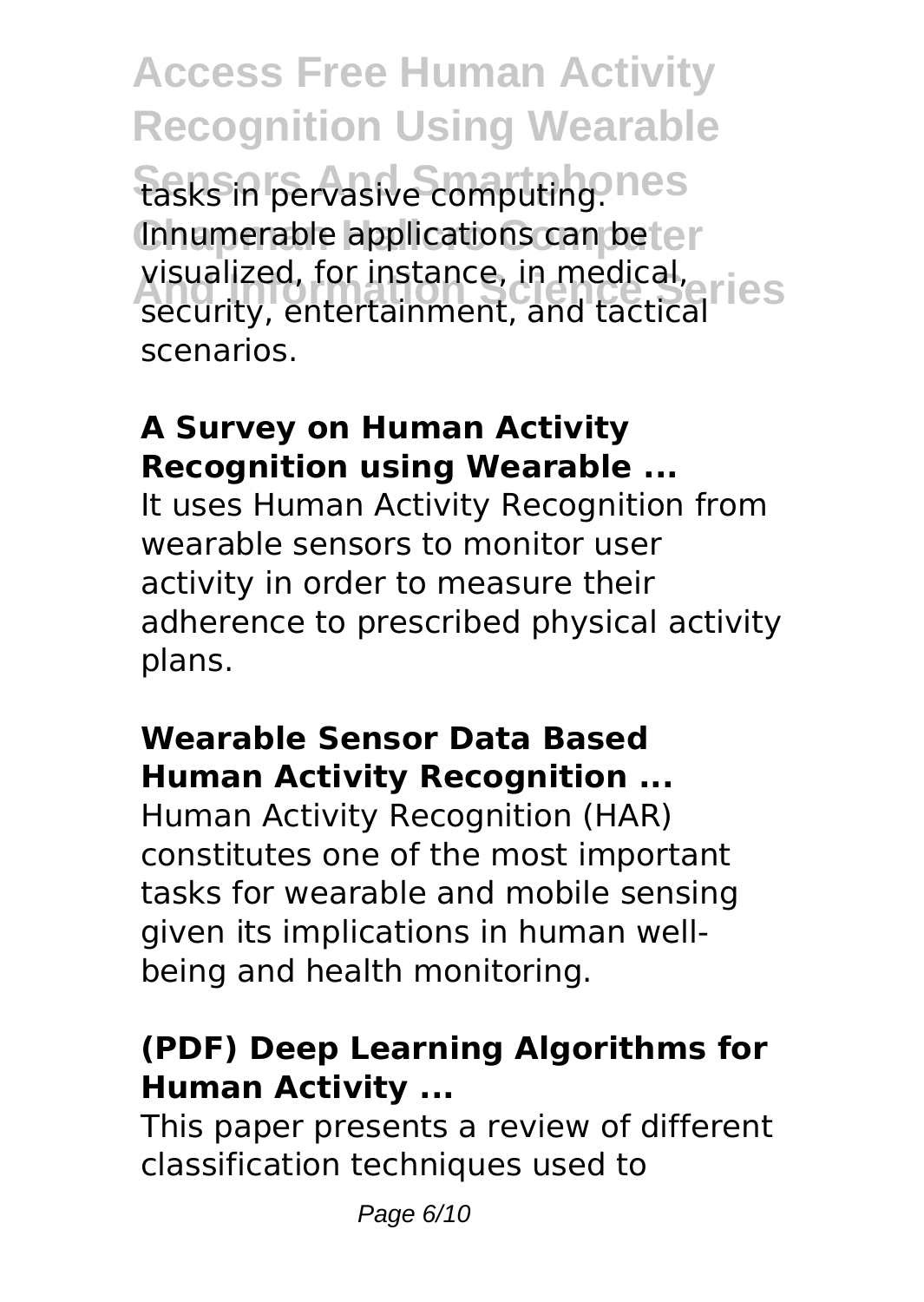**Access Free Human Activity Recognition Using Wearable** tasks in pervasive computing. nes Innumerable applications can beter visualized, for instance, in medical,<br>cecurity, entertainment, and tactical, ICS security, entertainment, and tactical scenarios.

# **A Survey on Human Activity Recognition using Wearable ...**

It uses Human Activity Recognition from wearable sensors to monitor user activity in order to measure their adherence to prescribed physical activity plans.

# **Wearable Sensor Data Based Human Activity Recognition ...**

Human Activity Recognition (HAR) constitutes one of the most important tasks for wearable and mobile sensing given its implications in human wellbeing and health monitoring.

## **(PDF) Deep Learning Algorithms for Human Activity ...**

This paper presents a review of different classification techniques used to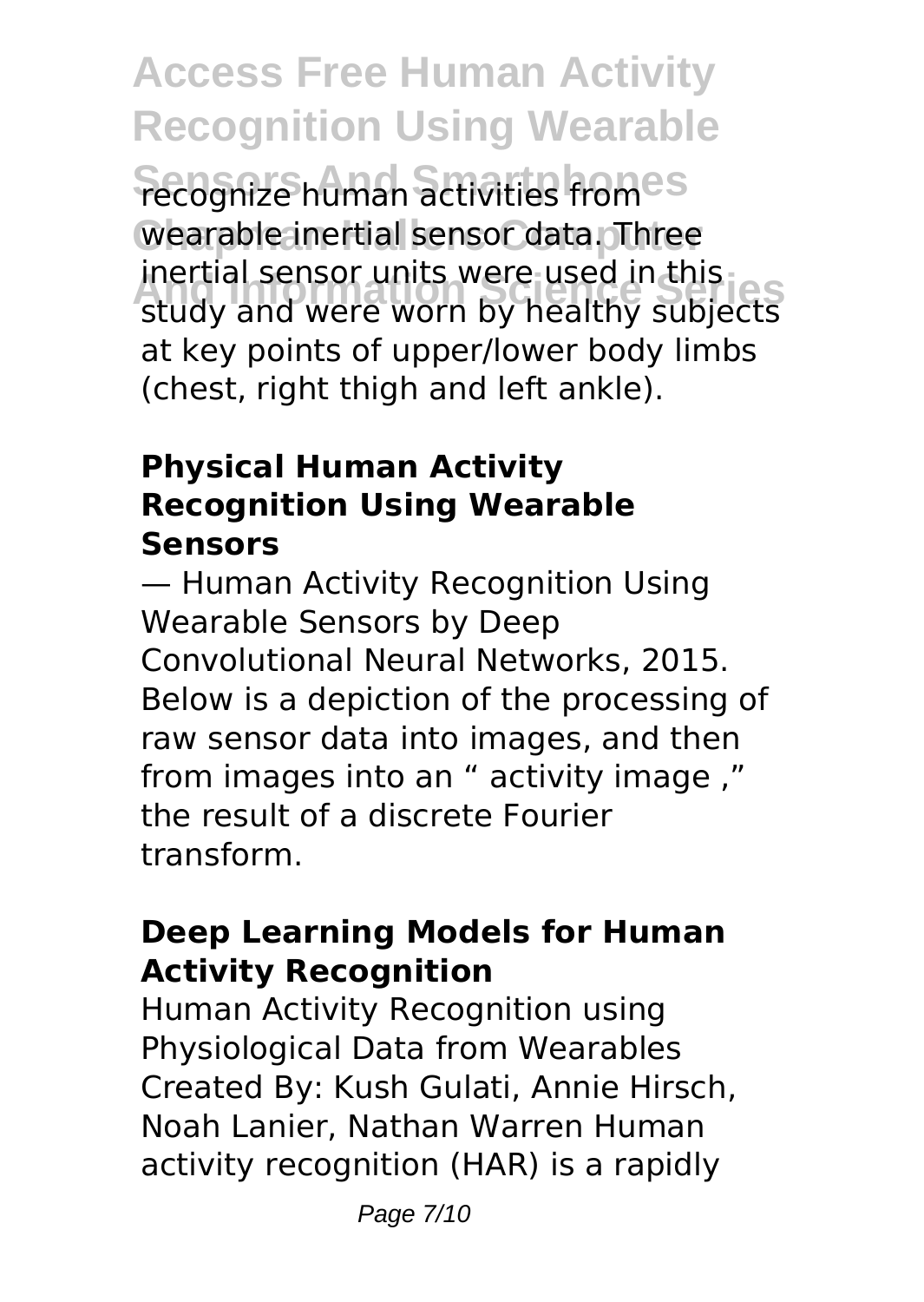**Access Free Human Activity Recognition Using Wearable Fecognize human activities fromes** Wearable inertial sensor data. Three **And Information Science Series** study and were worn by healthy subjects inertial sensor units were used in this at key points of upper/lower body limbs (chest, right thigh and left ankle).

## **Physical Human Activity Recognition Using Wearable Sensors**

— Human Activity Recognition Using Wearable Sensors by Deep Convolutional Neural Networks, 2015. Below is a depiction of the processing of raw sensor data into images, and then from images into an " activity image ," the result of a discrete Fourier transform.

## **Deep Learning Models for Human Activity Recognition**

Human Activity Recognition using Physiological Data from Wearables Created By: Kush Gulati, Annie Hirsch, Noah Lanier, Nathan Warren Human activity recognition (HAR) is a rapidly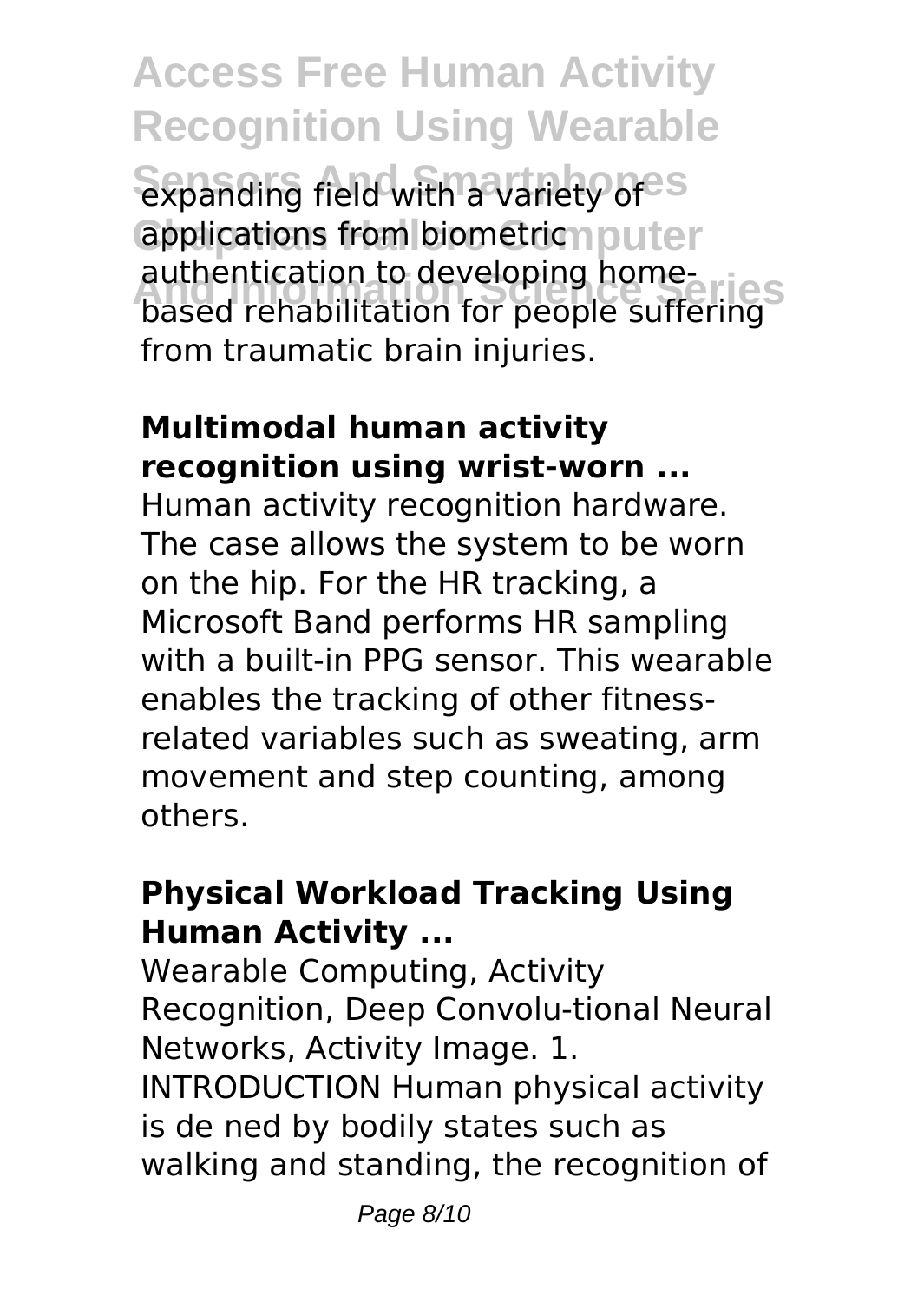**Access Free Human Activity Recognition Using Wearable** expanding field with a variety of<sup>es</sup> applications from biometricmputer **And Information Science Series** based rehabilitation for people suffering authentication to developing homefrom traumatic brain injuries.

## **Multimodal human activity recognition using wrist-worn ...**

Human activity recognition hardware. The case allows the system to be worn on the hip. For the HR tracking, a Microsoft Band performs HR sampling with a built-in PPG sensor. This wearable enables the tracking of other fitnessrelated variables such as sweating, arm movement and step counting, among others.

## **Physical Workload Tracking Using Human Activity ...**

Wearable Computing, Activity Recognition, Deep Convolu-tional Neural Networks, Activity Image. 1. INTRODUCTION Human physical activity is de ned by bodily states such as walking and standing, the recognition of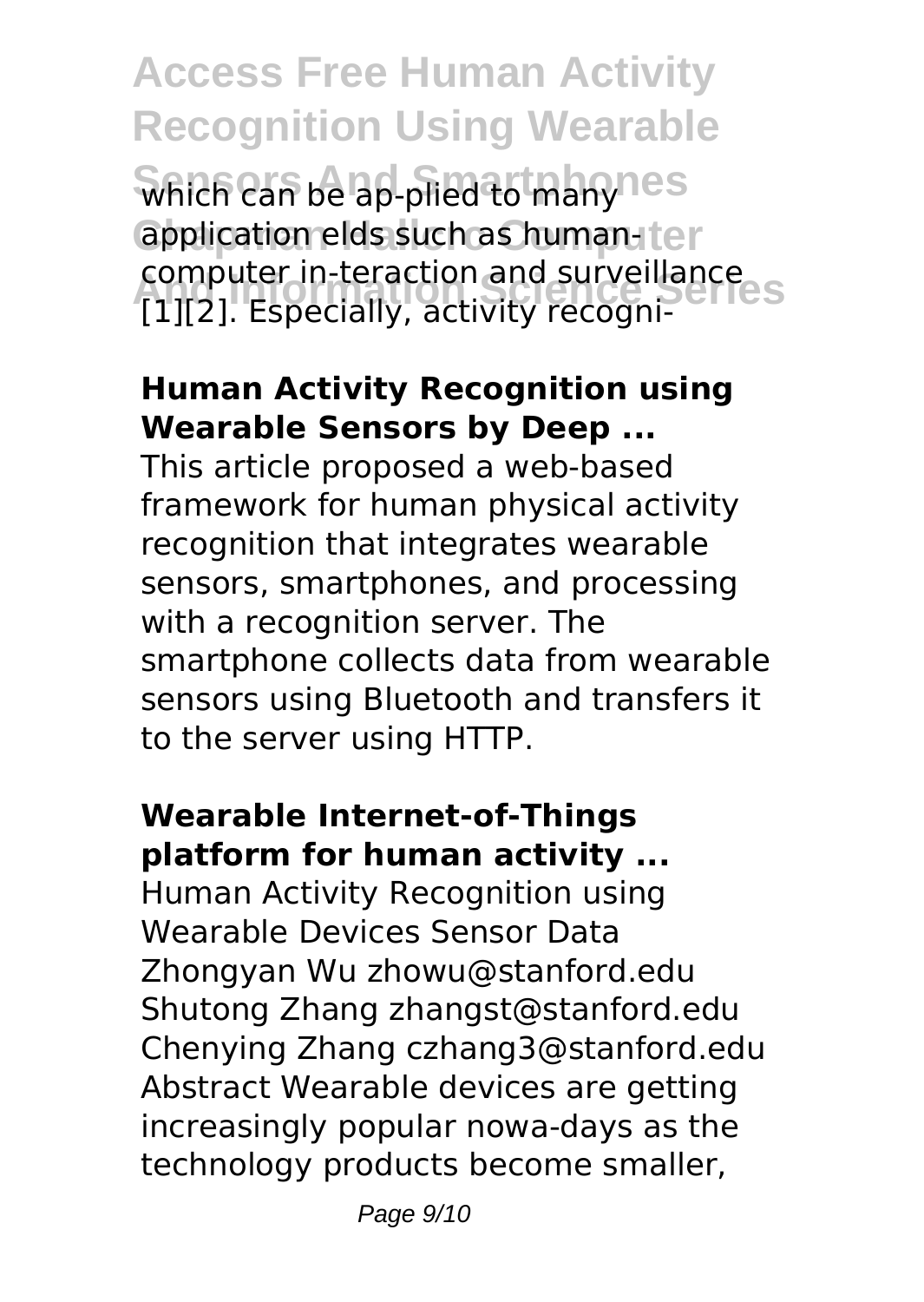**Access Free Human Activity Recognition Using Wearable Which can be ap-plied to manynes** application elds such as human-ter **And Information Science Series** [1][2]. Especially, activity recognicomputer in-teraction and surveillance

### **Human Activity Recognition using Wearable Sensors by Deep ...**

This article proposed a web-based framework for human physical activity recognition that integrates wearable sensors, smartphones, and processing with a recognition server. The smartphone collects data from wearable sensors using Bluetooth and transfers it to the server using HTTP.

### **Wearable Internet-of-Things platform for human activity ...**

Human Activity Recognition using Wearable Devices Sensor Data Zhongyan Wu zhowu@stanford.edu Shutong Zhang zhangst@stanford.edu Chenying Zhang czhang3@stanford.edu Abstract Wearable devices are getting increasingly popular nowa-days as the technology products become smaller,